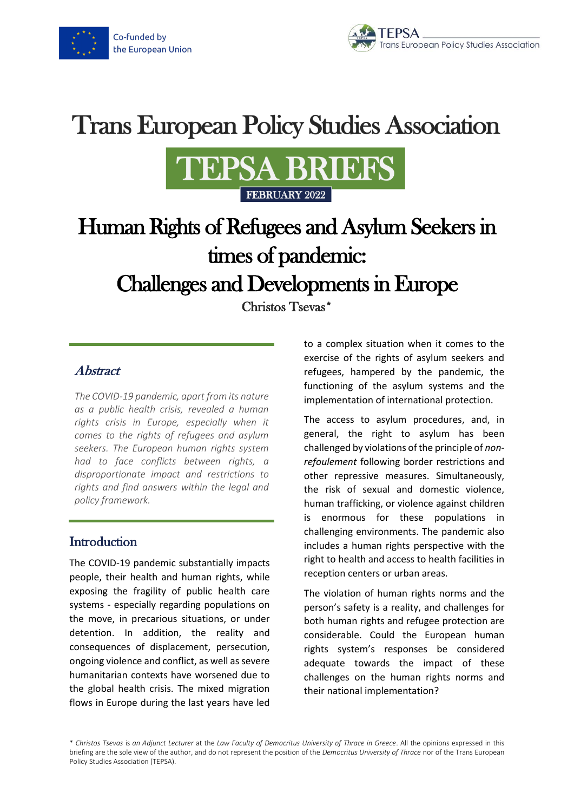

## **Trans European Policy Studies Association**



# Human Rights of Refugees and Asylum Seekers in times of pandemic: Challenges and Developments in Europe

Christos Tsevas\*

### **Abstract**

*The COVID-19 pandemic, apart from its nature as a public health crisis, revealed a human rights crisis in Europe, especially when it comes to the rights of refugees and asylum seekers. The European human rights system had to face conflicts between rights, a disproportionate impact and restrictions to rights and find answers within the legal and policy framework.*

## **Introduction**

The COVID-19 pandemic substantially impacts people, their health and human rights, while exposing the fragility of public health care systems - especially regarding populations on the move, in precarious situations, or under detention. In addition, the reality and consequences of displacement, persecution, ongoing violence and conflict, as well as severe humanitarian contexts have worsened due to the global health crisis. The mixed migration flows in Europe during the last years have led

to a complex situation when it comes to the exercise of the rights of asylum seekers and refugees, hampered by the pandemic, the functioning of the asylum systems and the implementation of international protection.

The access to asylum procedures, and, in general, the right to asylum has been challenged by violations of the principle of *nonrefoulement* following border restrictions and other repressive measures. Simultaneously, the risk of sexual and domestic violence, human trafficking, or violence against children is enormous for these populations in challenging environments. The pandemic also includes a human rights perspective with the right to health and access to health facilities in reception centers or urban areas.

The violation of human rights norms and the person's safety is a reality, and challenges for both human rights and refugee protection are considerable. Could the European human rights system's responses be considered adequate towards the impact of these challenges on the human rights norms and their national implementation?

\* *Christos Tsevas* is *an Adjunct Lecturer* at the *Law Faculty of Democritus University of Thrace in Greece*. All the opinions expressed in this briefing are the sole view of the author, and do not represent the position of the *Democritus University of Thrace* nor of the Trans European Policy Studies Association (TEPSA).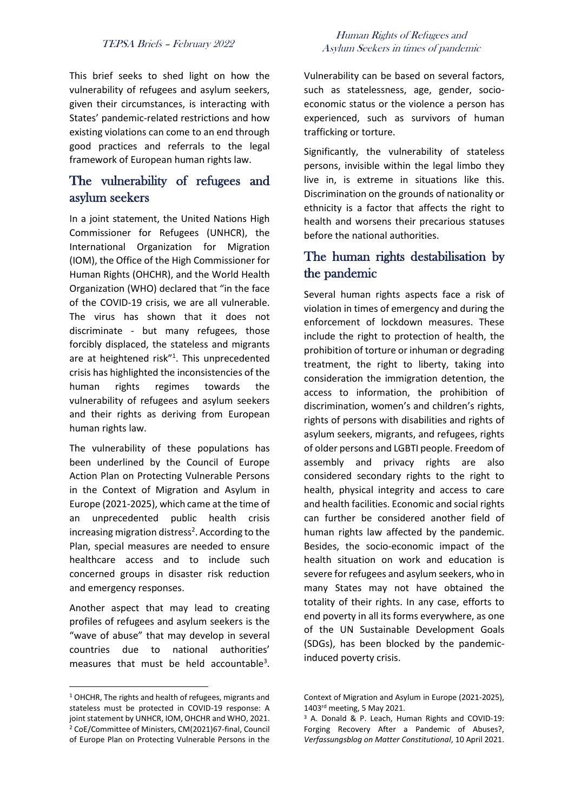This brief seeks to shed light on how the vulnerability of refugees and asylum seekers, given their circumstances, is interacting with States' pandemic-related restrictions and how existing violations can come to an end through good practices and referrals to the legal framework of European human rights law.

## The vulnerability of refugees and asylum seekers

In a joint statement, the United Nations High Commissioner for Refugees (UNHCR), the International Organization for Migration (IOM), the Office of the High Commissioner for Human Rights (OHCHR), and the World Health Organization (WHO) declared that "in the face of the COVID-19 crisis, we are all vulnerable. The virus has shown that it does not discriminate - but many refugees, those forcibly displaced, the stateless and migrants are at heightened risk"<sup>1</sup>. This unprecedented crisis has highlighted the inconsistencies of the human rights regimes towards the vulnerability of refugees and asylum seekers and their rights as deriving from European human rights law.

The vulnerability of these populations has been underlined by the Council of Europe Action Plan on Protecting Vulnerable Persons in the Context of Migration and Asylum in Europe (2021-2025), which came at the time of an unprecedented public health crisis increasing migration distress<sup>2</sup>. According to the Plan, special measures are needed to ensure healthcare access and to include such concerned groups in disaster risk reduction and emergency responses.

Another aspect that may lead to creating profiles of refugees and asylum seekers is the "wave of abuse" that may develop in several countries due to national authorities' measures that must be held accountable<sup>3</sup>.

#### Human Rights of Refugees and Asylum Seekers in times of pandemic

Vulnerability can be based on several factors, such as statelessness, age, gender, socioeconomic status or the violence a person has experienced, such as survivors of human trafficking or torture.

Significantly, the vulnerability of stateless persons, invisible within the legal limbo they live in, is extreme in situations like this. Discrimination on the grounds of nationality or ethnicity is a factor that affects the right to health and worsens their precarious statuses before the national authorities.

### The human rights destabilisation by the pandemic

Several human rights aspects face a risk of violation in times of emergency and during the enforcement of lockdown measures. These include the right to protection of health, the prohibition of torture or inhuman or degrading treatment, the right to liberty, taking into consideration the immigration detention, the access to information, the prohibition of discrimination, women's and children's rights, rights of persons with disabilities and rights of asylum seekers, migrants, and refugees, rights of older persons and LGBTI people. Freedom of assembly and privacy rights are also considered secondary rights to the right to health, physical integrity and access to care and health facilities. Economic and social rights can further be considered another field of human rights law affected by the pandemic. Besides, the socio-economic impact of the health situation on work and education is severe for refugees and asylum seekers, who in many States may not have obtained the totality of their rights. In any case, efforts to end poverty in all its forms everywhere, as one of the UN Sustainable Development Goals (SDGs), has been blocked by the pandemicinduced poverty crisis.

<sup>1</sup> OHCHR, The rights and health of refugees, migrants and stateless must be protected in COVID-19 response: A joint statement by UNHCR, IOM, OHCHR and WHO, 2021. <sup>2</sup> CoE/Committee of Ministers, CM(2021)67-final, Council of Europe Plan on Protecting Vulnerable Persons in the

Context of Migration and Asylum in Europe (2021-2025), 1403rd meeting, 5 May 2021.

<sup>3</sup> A. Donald & P. Leach, Human Rights and COVID-19: Forging Recovery After a Pandemic of Abuses?, *Verfassungsblog on Matter Constitutional*, 10 April 2021.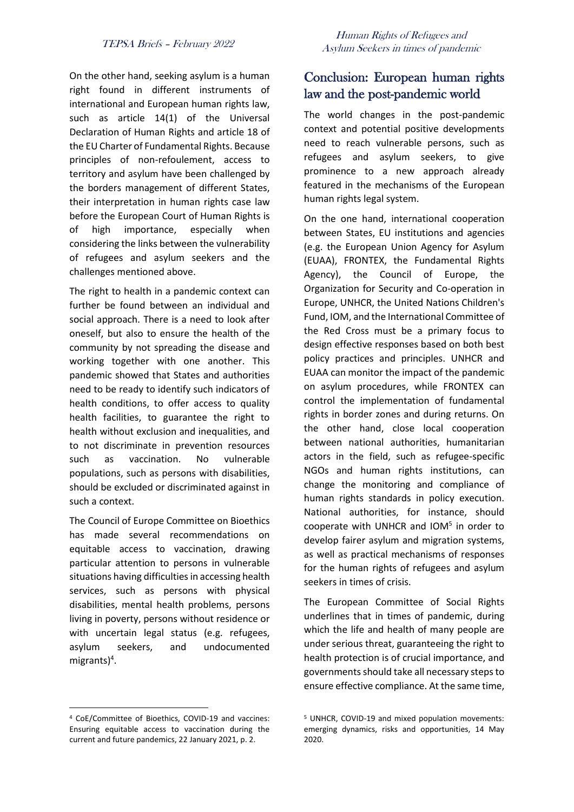On the other hand, seeking asylum is a human right found in different instruments of international and European human rights law, such as article 14(1) of the Universal Declaration of Human Rights and article 18 of the EU Charter of Fundamental Rights. Because principles of non-refoulement, access to territory and asylum have been challenged by the borders management of different States, their interpretation in human rights case law before the European Court of Human Rights is of high importance, especially when considering the links between the vulnerability of refugees and asylum seekers and the challenges mentioned above.

The right to health in a pandemic context can further be found between an individual and social approach. There is a need to look after oneself, but also to ensure the health of the community by not spreading the disease and working together with one another. This pandemic showed that States and authorities need to be ready to identify such indicators of health conditions, to offer access to quality health facilities, to guarantee the right to health without exclusion and inequalities, and to not discriminate in prevention resources such as vaccination. No vulnerable populations, such as persons with disabilities, should be excluded or discriminated against in such a context.

The Council of Europe Committee on Bioethics has made several recommendations on equitable access to vaccination, drawing particular attention to persons in vulnerable situations having difficulties in accessing health services, such as persons with physical disabilities, mental health problems, persons living in poverty, persons without residence or with uncertain legal status (e.g. refugees, asylum seekers, and undocumented migrants) 4 .

## Conclusion: European human rights law and the post-pandemic world

The world changes in the post-pandemic context and potential positive developments need to reach vulnerable persons, such as refugees and asylum seekers, to give prominence to a new approach already featured in the mechanisms of the European human rights legal system.

On the one hand, international cooperation between States, EU institutions and agencies (e.g. the European Union Agency for Asylum (EUAA), FRONTEX, the Fundamental Rights Agency), the Council of Europe, the Organization for Security and Co-operation in Europe, UNHCR, the United Nations Children's Fund, IOM, and the International Committee of the Red Cross must be a primary focus to design effective responses based on both best policy practices and principles. UNHCR and EUAA can monitor the impact of the pandemic on asylum procedures, while FRONTEX can control the implementation of fundamental rights in border zones and during returns. On the other hand, close local cooperation between national authorities, humanitarian actors in the field, such as refugee-specific NGOs and human rights institutions, can change the monitoring and compliance of human rights standards in policy execution. National authorities, for instance, should cooperate with UNHCR and IOM<sup>5</sup> in order to develop fairer asylum and migration systems, as well as practical mechanisms of responses for the human rights of refugees and asylum seekers in times of crisis.

The European Committee of Social Rights underlines that in times of pandemic, during which the life and health of many people are under serious threat, guaranteeing the right to health protection is of crucial importance, and governments should take all necessary steps to ensure effective compliance. At the same time,

<sup>4</sup> CoE/Committee of Bioethics, COVID-19 and vaccines: Ensuring equitable access to vaccination during the current and future pandemics, 22 January 2021, p. 2.

<sup>5</sup> UNHCR, COVID-19 and mixed population movements: emerging dynamics, risks and opportunities, 14 May 2020.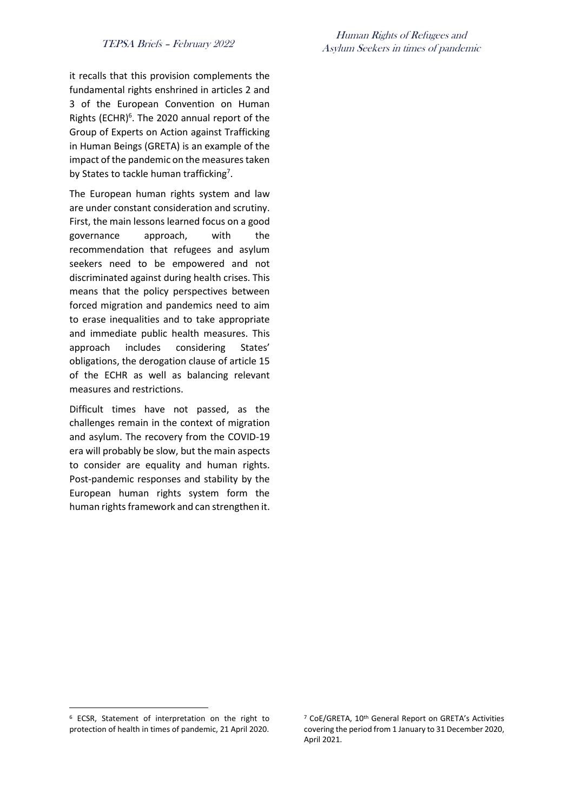Human Rights of Refugees and Asylum Seekers in times of pandemic

it recalls that this provision complements the fundamental rights enshrined in articles 2 and 3 of the European Convention on Human Rights (ECHR) $<sup>6</sup>$ . The 2020 annual report of the</sup> Group of Experts on Action against Trafficking in Human Beings (GRETA) is an example of the impact of the pandemic on the measures taken by States to tackle human trafficking<sup>7</sup>.

The European human rights system and law are under constant consideration and scrutiny. First, the main lessons learned focus on a good governance approach, with the recommendation that refugees and asylum seekers need to be empowered and not discriminated against during health crises. This means that the policy perspectives between forced migration and pandemics need to aim to erase inequalities and to take appropriate and immediate public health measures. This approach includes considering States' obligations, the derogation clause of article 15 of the ECHR as well as balancing relevant measures and restrictions.

Difficult times have not passed, as the challenges remain in the context of migration and asylum. The recovery from the COVID-19 era will probably be slow, but the main aspects to consider are equality and human rights. Post-pandemic responses and stability by the European human rights system form the human rights framework and can strengthen it.

<sup>6</sup> ECSR, Statement of interpretation on the right to protection of health in times of pandemic, 21 April 2020.

<sup>7</sup> CoE/GRETA, 10th General Report on GRETA's Activities covering the period from 1 January to 31 December 2020, April 2021.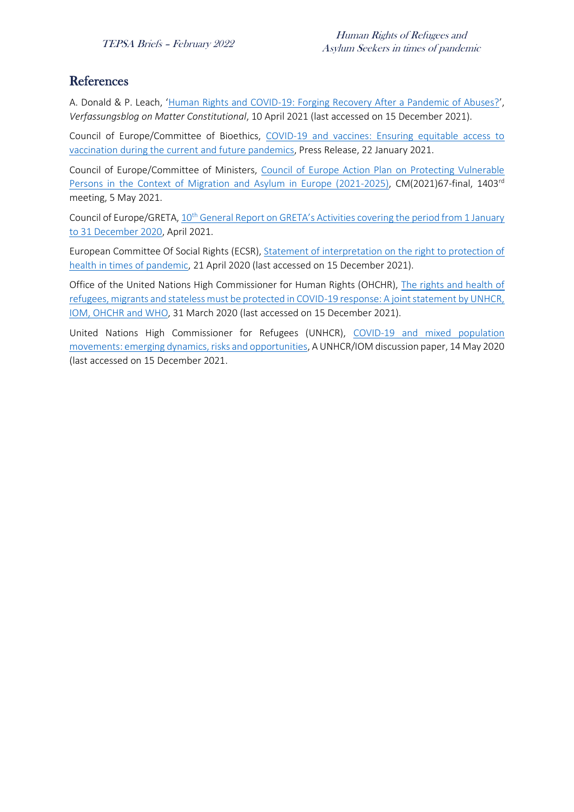## References

A. Donald & P. Leach, '[Human Rights and COVID-19: Forging Recovery After a Pandemic of Abuses?](https://verfassungsblog.de/human-rights-and-covid-19-forging-recovery-after-a-pandemic-of-abuses/)', *Verfassungsblog on Matter Constitutional*, 10 April 2021 (last accessed on 15 December 2021).

Council of Europe/Committee of Bioethics, [COVID-19 and vaccines: Ensuring equitable access to](https://www.coe.int/en/web/bioethics/-/covid-19-and-vaccines-equitable-access-to-vaccination-must-be-ensured)  [vaccination during the current and future pandemics,](https://www.coe.int/en/web/bioethics/-/covid-19-and-vaccines-equitable-access-to-vaccination-must-be-ensured) Press Release, 22 January 2021.

Council of Europe/Committee of Ministers, [Council of Europe Action Plan on Protecting Vulnerable](https://edoc.coe.int/en/refugees/10241-council-of-europe-action-plan-on-protecting-vulnerable-persons-in-the-context-of-migration-and-asylum-in-europe-2021-2025.html)  [Persons in the Context of Migration and Asylum in Europe \(2021-2025\),](https://edoc.coe.int/en/refugees/10241-council-of-europe-action-plan-on-protecting-vulnerable-persons-in-the-context-of-migration-and-asylum-in-europe-2021-2025.html) CM(2021)67-final, 1403<sup>rd</sup> meeting, 5 May 2021.

Council of Europe/GRETA, 10<sup>th</sup> General Report on GRETA's Activities covering the period from 1 January [to 31 December 2020,](https://rm.coe.int/10th-general-report-greta-activities-en/1680a21620) April 2021.

European Committee Of Social Rights (ECSR)[, Statement of interpretation on the right to protection of](https://rm.coe.int/statement-of-interpretation-on-the-right-to-protection-of-health-in-ti/16809e3640)  [health in times of pandemic,](https://rm.coe.int/statement-of-interpretation-on-the-right-to-protection-of-health-in-ti/16809e3640) 21 April 2020 (last accessed on 15 December 2021).

Office of the United Nations High Commissioner for Human Rights (OHCHR), [The rights and health of](https://www.ohchr.org/EN/NewsEvents/Pages/DisplayNews.aspx?NewsID=25762&LangID=E)  [refugees, migrants and stateless must be protected in COVID-19 response: A joint statement by UNHCR,](https://www.ohchr.org/EN/NewsEvents/Pages/DisplayNews.aspx?NewsID=25762&LangID=E)  [IOM, OHCHR and WHO,](https://www.ohchr.org/EN/NewsEvents/Pages/DisplayNews.aspx?NewsID=25762&LangID=E) 31 March 2020 (last accessed on 15 December 2021).

United Nations High Commissioner for Refugees (UNHCR), [COVID-19 and mixed population](https://www.refworld.org/docid/5ec4e2c84.html)  [movements: emerging dynamics, risks and opportunities,](https://www.refworld.org/docid/5ec4e2c84.html) A UNHCR/IOM discussion paper, 14 May 2020 (last accessed on 15 December 2021.